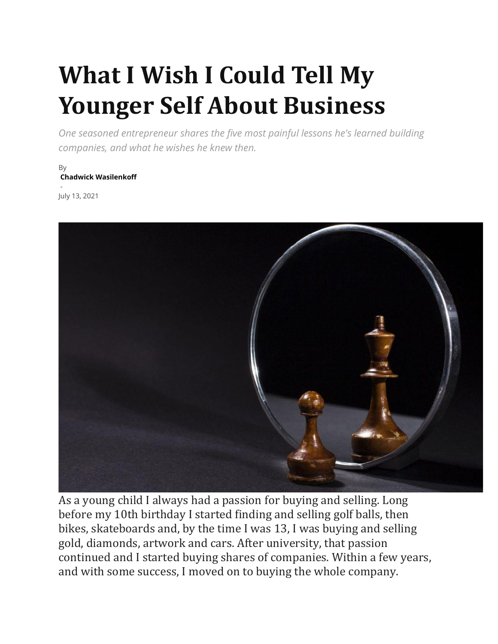# **What I Wish I Could Tell My Younger Self About Business**

*One seasoned entrepreneur shares the five most painful lessons he's learned building companies, and what he wishes he knew then.*

By **[Chadwick Wasilenkoff](https://chiefexecutive.net/author/chadwickwasilenkoff1/)**

- July 13, 2021



As a young child I always had a passion for buying and selling. Long before my 10th birthday I started finding and selling golf balls, then bikes, skateboards and, by the time I was 13, I was buying and selling gold, diamonds, artwork and cars. After university, that passion continued and I started buying shares of companies. Within a few years, and with some success, I moved on to buying the whole company.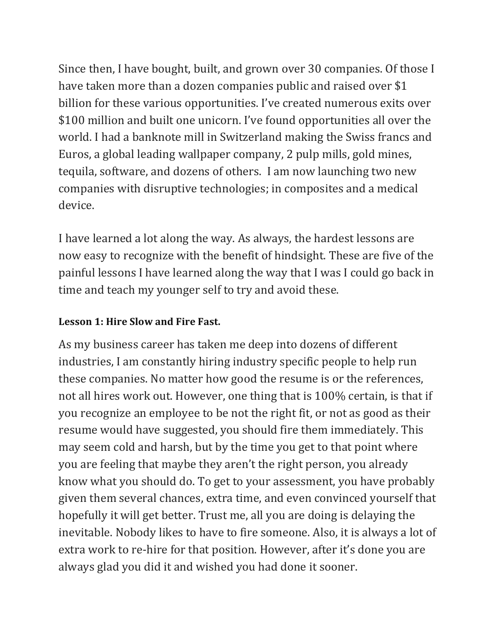Since then, I have bought, built, and grown over 30 companies. Of those I have taken more than a dozen companies public and raised over \$1 billion for these various opportunities. I've created numerous exits over \$100 million and built one unicorn. I've found opportunities all over the world. I had a banknote mill in Switzerland making the Swiss francs and Euros, a global leading wallpaper company, 2 pulp mills, gold mines, tequila, software, and dozens of others. I am now launching two new companies with disruptive technologies; in composites and a medical device.

I have learned a lot along the way. As always, the hardest lessons are now easy to recognize with the benefit of hindsight. These are five of the painful lessons I have learned along the way that I was I could go back in time and teach my younger self to try and avoid these.

## **Lesson 1: Hire Slow and Fire Fast.**

As my business career has taken me deep into dozens of different industries, I am constantly hiring industry specific people to help run these companies. No matter how good the resume is or the references, not all hires work out. However, one thing that is 100% certain, is that if you recognize an employee to be not the right fit, or not as good as their resume would have suggested, you should fire them immediately. This may seem cold and harsh, but by the time you get to that point where you are feeling that maybe they aren't the right person, you already know what you should do. To get to your assessment, you have probably given them several chances, extra time, and even convinced yourself that hopefully it will get better. Trust me, all you are doing is delaying the inevitable. Nobody likes to have to fire someone. Also, it is always a lot of extra work to re-hire for that position. However, after it's done you are always glad you did it and wished you had done it sooner.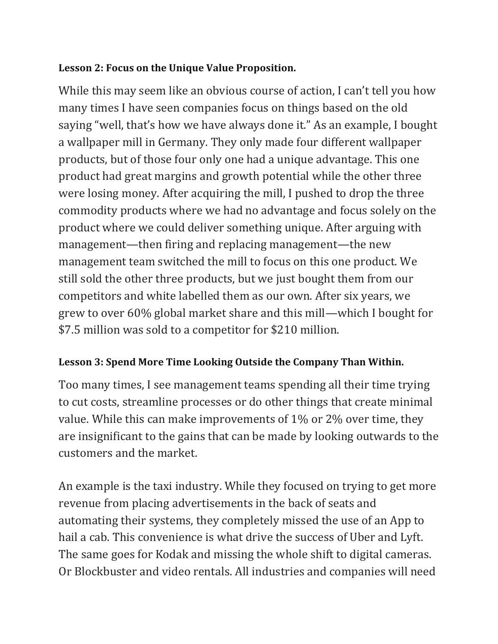### **Lesson 2: Focus on the Unique Value Proposition.**

While this may seem like an obvious course of action, I can't tell you how many times I have seen companies focus on things based on the old saying "well, that's how we have always done it." As an example, I bought a wallpaper mill in Germany. They only made four different wallpaper products, but of those four only one had a unique advantage. This one product had great margins and growth potential while the other three were losing money. After acquiring the mill, I pushed to drop the three commodity products where we had no advantage and focus solely on the product where we could deliver something unique. After arguing with management—then firing and replacing management—the new management team switched the mill to focus on this one product. We still sold the other three products, but we just bought them from our competitors and white labelled them as our own. After six years, we grew to over 60% global market share and this mill—which I bought for \$7.5 million was sold to a competitor for \$210 million.

## **Lesson 3: Spend More Time Looking Outside the Company Than Within.**

Too many times, I see management teams spending all their time trying to cut costs, streamline processes or do other things that create minimal value. While this can make improvements of 1% or 2% over time, they are insignificant to the gains that can be made by looking outwards to the customers and the market.

An example is the taxi industry. While they focused on trying to get more revenue from placing advertisements in the back of seats and automating their systems, they completely missed the use of an App to hail a cab. This convenience is what drive the success of Uber and Lyft. The same goes for Kodak and missing the whole shift to digital cameras. Or Blockbuster and video rentals. All industries and companies will need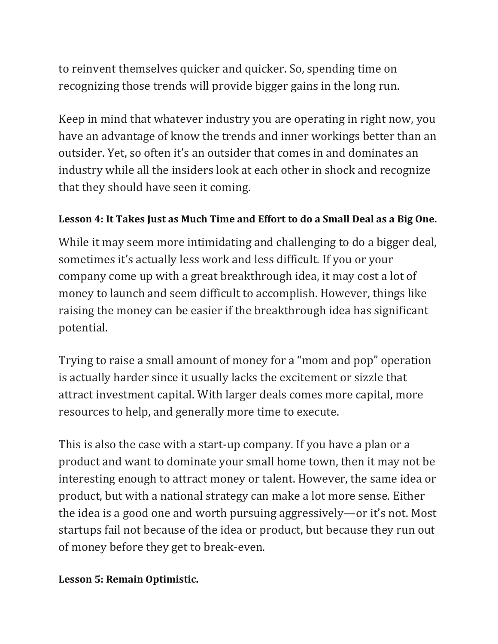to reinvent themselves quicker and quicker. So, spending time on recognizing those trends will provide bigger gains in the long run.

Keep in mind that whatever industry you are operating in right now, you have an advantage of know the trends and inner workings better than an outsider. Yet, so often it's an outsider that comes in and dominates an industry while all the insiders look at each other in shock and recognize that they should have seen it coming.

### **Lesson 4: It Takes Just as Much Time and Effort to do a Small Deal as a Big One.**

While it may seem more intimidating and challenging to do a bigger deal, sometimes it's actually less work and less difficult. If you or your company come up with a great breakthrough idea, it may cost a lot of money to launch and seem difficult to accomplish. However, things like raising the money can be easier if the breakthrough idea has significant potential.

Trying to raise a small amount of money for a "mom and pop" operation is actually harder since it usually lacks the excitement or sizzle that attract investment capital. With larger deals comes more capital, more resources to help, and generally more time to execute.

This is also the case with a start-up company. If you have a plan or a product and want to dominate your small home town, then it may not be interesting enough to attract money or talent. However, the same idea or product, but with a national strategy can make a lot more sense. Either the idea is a good one and worth pursuing aggressively—or it's not. Most startups fail not because of the idea or product, but because they run out of money before they get to break-even.

#### **Lesson 5: Remain Optimistic.**